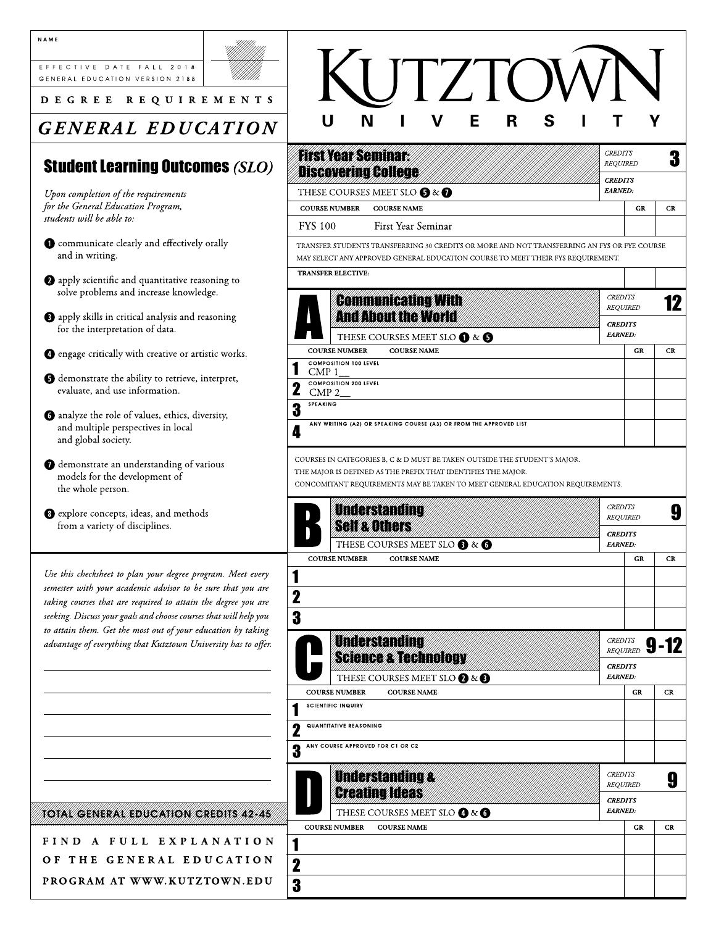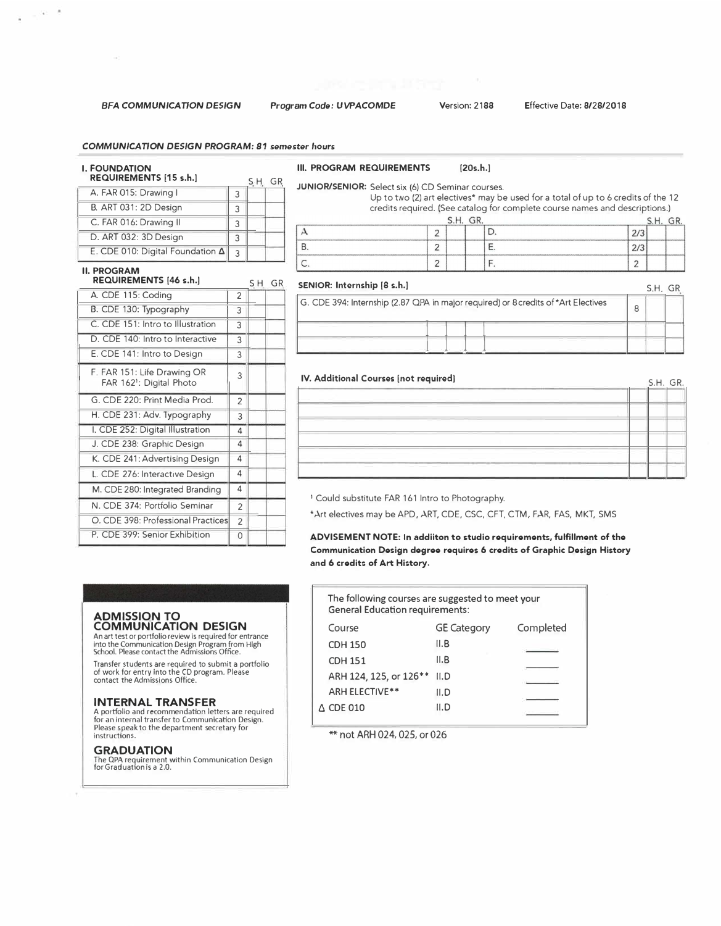#### *COMMUNICATION DESIGN PROGRAM: 81 semester* hours

# I. FOUNDATION REQUIREMENTS [15 s.h.]

| R                                |   |  |
|----------------------------------|---|--|
| A. FAR 015: Drawing I            | 3 |  |
| <b>B. ART 031: 2D Design</b>     | 3 |  |
| C. FAR 016: Drawing II           | 3 |  |
| D. ART 032: 3D Design            | 3 |  |
| E. CDE 010: Digital Foundation A | 3 |  |

## II. PROGRAM

# REQUIREMENTS (46 s.h.]

|                | S.H.                               | GR |
|----------------|------------------------------------|----|
| $\overline{2}$ |                                    |    |
| 3              |                                    |    |
| 3              |                                    |    |
| 3              |                                    |    |
| 3              |                                    |    |
| 3              |                                    |    |
| $\mathfrak{p}$ |                                    |    |
| 3              |                                    |    |
| 4              |                                    |    |
| 4              |                                    |    |
| 4              |                                    |    |
| 4              |                                    |    |
| 4              |                                    |    |
| $\overline{2}$ |                                    |    |
| 2              |                                    |    |
| 0              |                                    |    |
|                | O. CDE 398: Professional Practices |    |

#### III. PROGRAM REQUIREMENTS [20s.h.]

# JUNIOR/SENIOR: Select six {6) CD Seminar courses.

Up to two (2) art electives\* may be used for a total of up to 6 credits of the 12 credits required. {See catalog for complete course names and descriptions. )

|                                                                           | www.atlanta.com/envisymanta.com/envisymanta<br>--------- |                  |
|---------------------------------------------------------------------------|----------------------------------------------------------|------------------|
|                                                                           |                                                          |                  |
| <b>MARINER MARINE</b><br><b><i><u>START COMPANY AND RESIDENCE</u></i></b> | --------                                                 | -----<br>------- |
|                                                                           |                                                          |                  |

| SENIOR: Internship [8 s.h.]                                                        |   | S.H. |  |
|------------------------------------------------------------------------------------|---|------|--|
| G. CDE 394: Internship (2.87 QPA in major required) or 8 credits of *Art Electives | 8 |      |  |
|                                                                                    |   |      |  |

#### IV. Additional Courses [not required]

| IV. Additional Courses [not required] | S.H. GR. |
|---------------------------------------|----------|
|                                       |          |
|                                       |          |
|                                       |          |
|                                       |          |
|                                       |          |
|                                       |          |

<sup>1</sup> Could substitute FAR 161 Intro to Photography.

\*Art electives may be APD, ART, CDE, CSC, CFT, CTM, FAR, FAS, MKT, SMS

ADVISEMENT NOTE: In addiiton to studio requirements, fulfillment of the Communication Design degree requires 6 credits of Graphic Design History and 6 credits of Art History.

#### **ADMISSION TO COMMUNICATION DESIGN**  An art test or portfolio review is required for entrance

into the Communication Design Program from High School. Please contact the Admissions Office.

Transfer students are required to submit a portfolio of work for entry into the CD program. Please contact the Admissions Office.

### **INTERNAL TRANSFER**

A portfolio and recommendation letters are required for an internal transfer to Communication Design. Please speak to the department secretary for instructions.

### **GRADUATION**

The QPA requirement within Communication Design for Graduation is a 2.0.

The following courses are suggested to meet your General Education requirements: Course **GE Category** CDH 150 11.B CDH 151 11.B ARH 124, 125, or 126\*\* 11.D ARH ELECTIVE\*\* 11.D  $\triangle$  CDE 010 11.D Completed

\*\* not ARH 024, 025, or 026